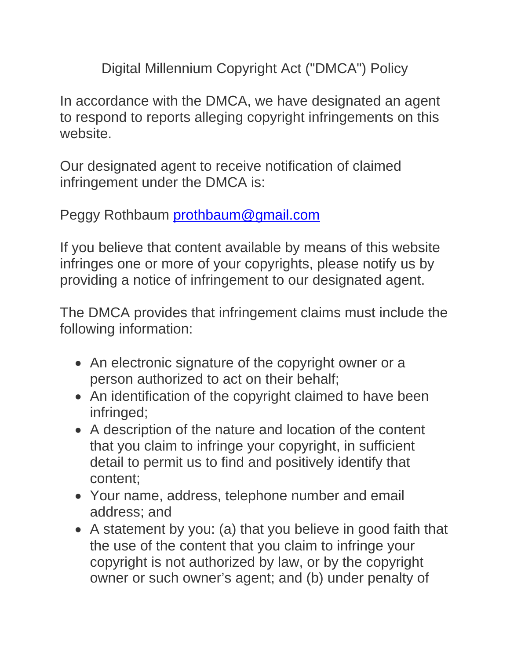## Digital Millennium Copyright Act ("DMCA") Policy

In accordance with the DMCA, we have designated an agent to respond to reports alleging copyright infringements on this website.

Our designated agent to receive notification of claimed infringement under the DMCA is:

Peggy Rothbaum prothbaum@gmail.com

If you believe that content available by means of this website infringes one or more of your copyrights, please notify us by providing a notice of infringement to our designated agent.

The DMCA provides that infringement claims must include the following information:

- An electronic signature of the copyright owner or a person authorized to act on their behalf;
- An identification of the copyright claimed to have been infringed;
- A description of the nature and location of the content that you claim to infringe your copyright, in sufficient detail to permit us to find and positively identify that content;
- Your name, address, telephone number and email address; and
- A statement by you: (a) that you believe in good faith that the use of the content that you claim to infringe your copyright is not authorized by law, or by the copyright owner or such owner's agent; and (b) under penalty of